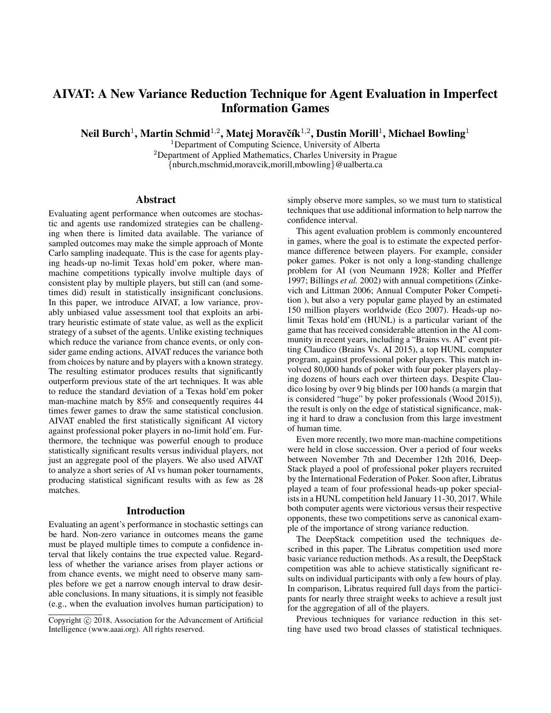# AIVAT: A New Variance Reduction Technique for Agent Evaluation in Imperfect Information Games

Neil Burch $^1$ , Martin Schmid $^{1,2}$ , Matej Moravčík $^{1,2}$ , Dustin Morill $^1$ , Michael Bowling $^1$ 

<sup>1</sup>Department of Computing Science, University of Alberta <sup>2</sup>Department of Applied Mathematics, Charles University in Prague {nburch,mschmid,moravcik,morill,mbowling}@ualberta.ca

### Abstract

Evaluating agent performance when outcomes are stochastic and agents use randomized strategies can be challenging when there is limited data available. The variance of sampled outcomes may make the simple approach of Monte Carlo sampling inadequate. This is the case for agents playing heads-up no-limit Texas hold'em poker, where manmachine competitions typically involve multiple days of consistent play by multiple players, but still can (and sometimes did) result in statistically insignificant conclusions. In this paper, we introduce AIVAT, a low variance, provably unbiased value assessment tool that exploits an arbitrary heuristic estimate of state value, as well as the explicit strategy of a subset of the agents. Unlike existing techniques which reduce the variance from chance events, or only consider game ending actions, AIVAT reduces the variance both from choices by nature and by players with a known strategy. The resulting estimator produces results that significantly outperform previous state of the art techniques. It was able to reduce the standard deviation of a Texas hold'em poker man-machine match by 85% and consequently requires 44 times fewer games to draw the same statistical conclusion. AIVAT enabled the first statistically significant AI victory against professional poker players in no-limit hold'em. Furthermore, the technique was powerful enough to produce statistically significant results versus individual players, not just an aggregate pool of the players. We also used AIVAT to analyze a short series of AI vs human poker tournaments, producing statistical significant results with as few as 28 matches.

#### Introduction

Evaluating an agent's performance in stochastic settings can be hard. Non-zero variance in outcomes means the game must be played multiple times to compute a confidence interval that likely contains the true expected value. Regardless of whether the variance arises from player actions or from chance events, we might need to observe many samples before we get a narrow enough interval to draw desirable conclusions. In many situations, it is simply not feasible (e.g., when the evaluation involves human participation) to simply observe more samples, so we must turn to statistical techniques that use additional information to help narrow the confidence interval.

This agent evaluation problem is commonly encountered in games, where the goal is to estimate the expected performance difference between players. For example, consider poker games. Poker is not only a long-standing challenge problem for AI (von Neumann 1928; Koller and Pfeffer 1997; Billings *et al.* 2002) with annual competitions (Zinkevich and Littman 2006; Annual Computer Poker Competition ), but also a very popular game played by an estimated 150 million players worldwide (Eco 2007). Heads-up nolimit Texas hold'em (HUNL) is a particular variant of the game that has received considerable attention in the AI community in recent years, including a "Brains vs. AI" event pitting Claudico (Brains Vs. AI 2015), a top HUNL computer program, against professional poker players. This match involved 80,000 hands of poker with four poker players playing dozens of hours each over thirteen days. Despite Claudico losing by over 9 big blinds per 100 hands (a margin that is considered "huge" by poker professionals (Wood 2015)), the result is only on the edge of statistical significance, making it hard to draw a conclusion from this large investment of human time.

Even more recently, two more man-machine competitions were held in close succession. Over a period of four weeks between November 7th and December 12th 2016, Deep-Stack played a pool of professional poker players recruited by the International Federation of Poker. Soon after, Libratus played a team of four professional heads-up poker specialists in a HUNL competition held January 11-30, 2017. While both computer agents were victorious versus their respective opponents, these two competitions serve as canonical example of the importance of strong variance reduction.

The DeepStack competition used the techniques described in this paper. The Libratus competition used more basic variance reduction methods. As a result, the DeepStack competition was able to achieve statistically significant results on individual participants with only a few hours of play. In comparison, Libratus required full days from the participants for nearly three straight weeks to achieve a result just for the aggregation of all of the players.

Previous techniques for variance reduction in this setting have used two broad classes of statistical techniques.

Copyright (c) 2018, Association for the Advancement of Artificial Intelligence (www.aaai.org). All rights reserved.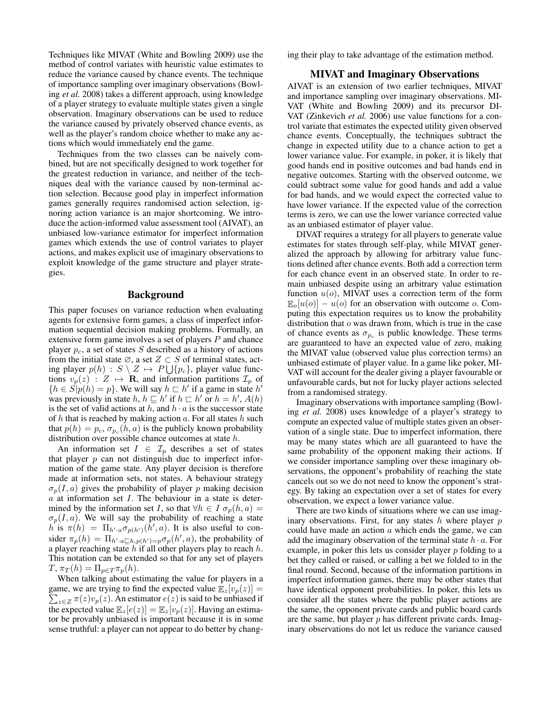Techniques like MIVAT (White and Bowling 2009) use the method of control variates with heuristic value estimates to reduce the variance caused by chance events. The technique of importance sampling over imaginary observations (Bowling *et al.* 2008) takes a different approach, using knowledge of a player strategy to evaluate multiple states given a single observation. Imaginary observations can be used to reduce the variance caused by privately observed chance events, as well as the player's random choice whether to make any actions which would immediately end the game.

Techniques from the two classes can be naively combined, but are not specifically designed to work together for the greatest reduction in variance, and neither of the techniques deal with the variance caused by non-terminal action selection. Because good play in imperfect information games generally requires randomised action selection, ignoring action variance is an major shortcoming. We introduce the action-informed value assessment tool (AIVAT), an unbiased low-variance estimator for imperfect information games which extends the use of control variates to player actions, and makes explicit use of imaginary observations to exploit knowledge of the game structure and player strategies.

# Background

This paper focuses on variance reduction when evaluating agents for extensive form games, a class of imperfect information sequential decision making problems. Formally, an extensive form game involves a set of players P and chance player  $p_c$ , a set of states S described as a history of actions from the initial state  $\emptyset$ , a set  $Z \subset S$  of terminal states, acting player  $p(h) : S \setminus Z \mapsto P \bigcup \{p_c\}$ , player value functions  $v_p(z)$  :  $Z \mapsto \mathbf{R}$ , and information partitions  $\mathcal{I}_p$  of  ${h \in S[p(h) = p]}$ . We will say  $h \sqsubset h'$  if a game in state  $h'$ was previously in state h,  $h \sqsubseteq h'$  if  $h \sqsubset h'$  or  $h = h'$ ,  $A(h)$ is the set of valid actions at h, and  $h \cdot a$  is the successor state of  $h$  that is reached by making action  $a$ . For all states  $h$  such that  $p(h) = p_c$ ,  $\sigma_{p_c}(h, a)$  is the publicly known probability distribution over possible chance outcomes at state h.

An information set  $I \in \mathcal{I}_p$  describes a set of states that player  $p$  can not distinguish due to imperfect information of the game state. Any player decision is therefore made at information sets, not states. A behaviour strategy  $\sigma_p(I, a)$  gives the probability of player p making decision  $a$  at information set  $I$ . The behaviour in a state is determined by the information set I, so that  $\forall h \in I \sigma_p(h, a) =$  $\sigma_p(I, a)$ . We will say the probability of reaching a state h is  $\pi(h) = \Pi_{h \cdot a} \sigma_{p(h')}(\hat{h}', a)$ . It is also useful to consider  $\pi_p(h) = \prod_{h' \cdot a \sqsubseteq h, p(h') = p} \sigma_p(h', a)$ , the probability of a player reaching state  $\overline{h}$  if all other players play to reach  $h$ . This notation can be extended so that for any set of players  $T, \pi_T(h) = \Pi_{p \in T} \pi_p(h).$ 

When talking about estimating the value for players in a  $\sum_{z \in Z} \pi(z) v_p(z)$ . An estimator  $e(z)$  is said to be unbiased if game, we are trying to find the expected value  $\mathbb{E}_{z}[v_p(z)] =$ the expected value  $\mathbb{E}_z[e(z)] = \mathbb{E}_z[v_p(z)]$ . Having an estimator be provably unbiased is important because it is in some sense truthful: a player can not appear to do better by changing their play to take advantage of the estimation method.

### MIVAT and Imaginary Observations

AIVAT is an extension of two earlier techniques, MIVAT and importance sampling over imaginary observations. MI-VAT (White and Bowling 2009) and its precursor DI-VAT (Zinkevich *et al.* 2006) use value functions for a control variate that estimates the expected utility given observed chance events. Conceptually, the techniques subtract the change in expected utility due to a chance action to get a lower variance value. For example, in poker, it is likely that good hands end in positive outcomes and bad hands end in negative outcomes. Starting with the observed outcome, we could subtract some value for good hands and add a value for bad hands, and we would expect the corrected value to have lower variance. If the expected value of the correction terms is zero, we can use the lower variance corrected value as an unbiased estimator of player value.

DIVAT requires a strategy for all players to generate value estimates for states through self-play, while MIVAT generalized the approach by allowing for arbitrary value functions defined after chance events. Both add a correction term for each chance event in an observed state. In order to remain unbiased despite using an arbitrary value estimation function  $u(o)$ , MIVAT uses a correction term of the form  $\mathbb{E}_{\alpha}[u(o)] - u(o)$  for an observation with outcome o. Computing this expectation requires us to know the probability distribution that o was drawn from, which is true in the case of chance events as  $\sigma_{p_c}$  is public knowledge. These terms are guaranteed to have an expected value of zero, making the MIVAT value (observed value plus correction terms) an unbiased estimate of player value. In a game like poker, MI-VAT will account for the dealer giving a player favourable or unfavourable cards, but not for lucky player actions selected from a randomised strategy.

Imaginary observations with importance sampling (Bowling *et al.* 2008) uses knowledge of a player's strategy to compute an expected value of multiple states given an observation of a single state. Due to imperfect information, there may be many states which are all guaranteed to have the same probability of the opponent making their actions. If we consider importance sampling over these imaginary observations, the opponent's probability of reaching the state cancels out so we do not need to know the opponent's strategy. By taking an expectation over a set of states for every observation, we expect a lower variance value.

There are two kinds of situations where we can use imaginary observations. First, for any states  $h$  where player  $p$ could have made an action  $a$  which ends the game, we can add the imaginary observation of the terminal state  $h \cdot a$ . For example, in poker this lets us consider player  $p$  folding to a bet they called or raised, or calling a bet we folded to in the final round. Second, because of the information partitions in imperfect information games, there may be other states that have identical opponent probabilities. In poker, this lets us consider all the states where the public player actions are the same, the opponent private cards and public board cards are the same, but player  $p$  has different private cards. Imaginary observations do not let us reduce the variance caused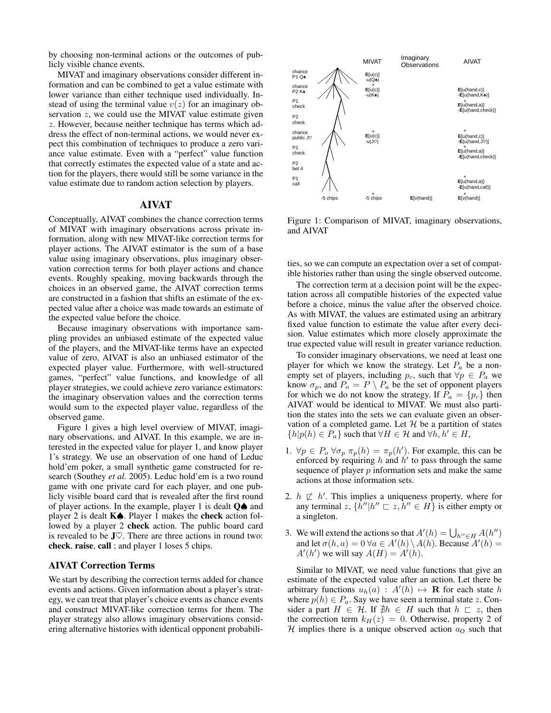by choosing non-terminal actions or the outcomes of publicly visible chance events.

MIVAT and imaginary observations consider different information and can be combined to get a value estimate with lower variance than either technique used individually. Instead of using the terminal value  $v(z)$  for an imaginary observation  $z$ , we could use the MIVAT value estimate given z. However, because neither technique has terms which address the effect of non-terminal actions, we would never expect this combination of techniques to produce a zero variance value estimate. Even with a "perfect" value function that correctly estimates the expected value of a state and action for the players, there would still be some variance in the value estimate due to random action selection by players.

### AIVAT

Conceptually, AIVAT combines the chance correction terms of MIVAT with imaginary observations across private information, along with new MIVAT-like correction terms for player actions. The AIVAT estimator is the sum of a base value using imaginary observations, plus imaginary observation correction terms for both player actions and chance events. Roughly speaking, moving backwards through the choices in an observed game, the AIVAT correction terms are constructed in a fashion that shifts an estimate of the expected value after a choice was made towards an estimate of the expected value before the choice.

Because imaginary observations with importance sampling provides an unbiased estimate of the expected value of the players, and the MIVAT-like terms have an expected value of zero, AIVAT is also an unbiased estimator of the expected player value. Furthermore, with well-structured games, "perfect" value functions, and knowledge of all player strategies, we could achieve zero variance estimators: the imaginary observation values and the correction terms would sum to the expected player value, regardless of the observed game.

Figure 1 gives a high level overview of MIVAT, imaginary observations, and AIVAT. In this example, we are interested in the expected value for player 1, and know player 1's strategy. We use an observation of one hand of Leduc hold'em poker, a small synthetic game constructed for research (Southey *et al.* 2005). Leduc hold'em is a two round game with one private card for each player, and one publicly visible board card that is revealed after the first round of player actions. In the example, player 1 is dealt  $Q\spadesuit$  and player 2 is dealt  $K$ <sup> $\spadesuit$ </sup>. Player 1 makes the **check** action followed by a player 2 check action. The public board card is revealed to be  $J\heartsuit$ . There are three actions in round two: check, raise, call ; and player 1 loses 5 chips.

### AIVAT Correction Terms

We start by describing the correction terms added for chance events and actions. Given information about a player's strategy, we can treat that player's choice events as chance events and construct MIVAT-like correction terms for them. The player strategy also allows imaginary observations considering alternative histories with identical opponent probabili-



Figure 1: Comparison of MIVAT, imaginary observations, and AIVAT

ties, so we can compute an expectation over a set of compatible histories rather than using the single observed outcome.

The correction term at a decision point will be the expectation across all compatible histories of the expected value before a choice, minus the value after the observed choice. As with MIVAT, the values are estimated using an arbitrary fixed value function to estimate the value after every decision. Value estimates which more closely approximate the true expected value will result in greater variance reduction.

To consider imaginary observations, we need at least one player for which we know the strategy. Let  $P_a$  be a nonempty set of players, including  $p_c$ , such that  $\forall p \in P_a$  we know  $\sigma_p$ , and  $P_o = P \setminus P_a$  be the set of opponent players for which we do not know the strategy. If  $P_a = \{p_c\}$  then AIVAT would be identical to MIVAT. We must also partition the states into the sets we can evaluate given an observation of a completed game. Let  $H$  be a partition of states  ${h|p(h) \in P_a}$  such that  $\forall H \in \mathcal{H}$  and  $\forall h, h' \in H$ ,

- 1.  $\forall p \in P_o \,\forall \sigma_p \,\pi_p(h) = \pi_p(h')$ . For example, this can be enforced by requiring h and  $h'$  to pass through the same sequence of player  $p$  information sets and make the same actions at those information sets.
- 2.  $h \not\sqsubset h'$ . This implies a uniqueness property, where for any terminal  $z$ ,  $\{\vec{h}''|h'' \sqsubset z, \vec{h}'' \in H\}$  is either empty or a singleton.
- 3. We will extend the actions so that  $A'(h) = \bigcup_{h'' \in H} A(h'')$ and let  $\sigma(h, a) = 0 \,\forall a \in A'(h) \setminus A(h)$ . Because  $A'(h) =$  $A'(h')$  we will say  $A(H) = A'(h)$ .

Similar to MIVAT, we need value functions that give an estimate of the expected value after an action. Let there be arbitrary functions  $u_h(a) : A'(h) \mapsto \mathbf{R}$  for each state h where  $p(h) \in P_a$ . Say we have seen a terminal state z. Consider a part  $H \in \mathcal{H}$ . If  $\sharp h \in H$  such that  $h \sqsubset z$ , then the correction term  $k_H(z) = 0$ . Otherwise, property 2 of H implies there is a unique observed action  $a<sub>O</sub>$  such that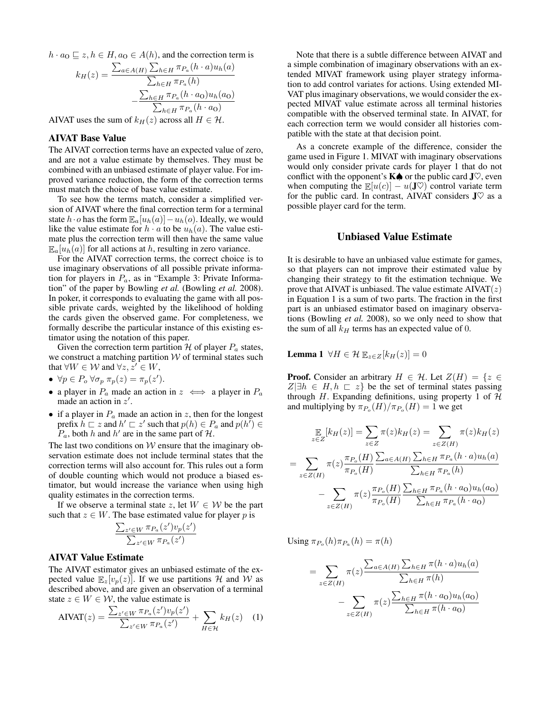$h \cdot a_0 \sqsubseteq z, h \in H, a_0 \in A(h)$ , and the correction term is

$$
k_H(z) = \frac{\sum_{a \in A(H)} \sum_{h \in H} \pi_{P_a}(h \cdot a) u_h(a)}{\sum_{h \in H} \pi_{P_a}(h)}
$$

$$
- \frac{\sum_{h \in H} \pi_{P_a}(h \cdot a_0) u_h(a_0)}{\sum_{h \in H} \pi_{P_a}(h \cdot a_0)}
$$

AIVAT uses the sum of  $k_H(z)$  across all  $H \in \mathcal{H}$ .

# AIVAT Base Value

The AIVAT correction terms have an expected value of zero, and are not a value estimate by themselves. They must be combined with an unbiased estimate of player value. For improved variance reduction, the form of the correction terms must match the choice of base value estimate.

To see how the terms match, consider a simplified version of AIVAT where the final correction term for a terminal state  $h \cdot o$  has the form  $\mathbb{E}_a[u_h(a)] - u_h(o)$ . Ideally, we would like the value estimate for  $h \cdot a$  to be  $u_h(a)$ . The value estimate plus the correction term will then have the same value  $\mathbb{E}_{a}[u_h(a)]$  for all actions at h, resulting in zero variance.

For the AIVAT correction terms, the correct choice is to use imaginary observations of all possible private information for players in  $P_a$ , as in "Example 3: Private Information" of the paper by Bowling *et al.* (Bowling *et al.* 2008). In poker, it corresponds to evaluating the game with all possible private cards, weighted by the likelihood of holding the cards given the observed game. For completeness, we formally describe the particular instance of this existing estimator using the notation of this paper.

Given the correction term partition  $H$  of player  $P_a$  states, we construct a matching partition  $W$  of terminal states such that  $\forall W \in \mathcal{W}$  and  $\forall z, z' \in W$ ,

- $\forall p \in P_o \,\forall \sigma_p \,\pi_p(z) = \pi_p(z').$
- a player in  $P_a$  made an action in  $z \iff a$  player in  $P_a$ made an action in  $z'$ .
- if a player in  $P_a$  made an action in z, then for the longest prefix  $h \sqsubset z$  and  $h' \sqsubset z'$  such that  $p(h) \in P_a$  and  $p(h') \in$  $P_a$ , both h and h' are in the same part of H.

The last two conditions on  $W$  ensure that the imaginary observation estimate does not include terminal states that the correction terms will also account for. This rules out a form of double counting which would not produce a biased estimator, but would increase the variance when using high quality estimates in the correction terms.

If we observe a terminal state z, let  $W \in \mathcal{W}$  be the part such that  $z \in W$ . The base estimated value for player p is

$$
\frac{\sum_{z' \in W} \pi_{P_a}(z')v_p(z')}{\sum_{z' \in W} \pi_{P_a}(z')}
$$

# AIVAT Value Estimate

The AIVAT estimator gives an unbiased estimate of the expected value  $\mathbb{E}_{z}[v_{p}(z)]$ . If we use partitions H and W as described above, and are given an observation of a terminal state  $z \in W \in \mathcal{W}$ , the value estimate is

$$
AIVAT(z) = \frac{\sum_{z' \in W} \pi_{P_a}(z')v_p(z')}{\sum_{z' \in W} \pi_{P_a}(z')} + \sum_{H \in \mathcal{H}} k_H(z) \quad (1)
$$

Note that there is a subtle difference between AIVAT and a simple combination of imaginary observations with an extended MIVAT framework using player strategy information to add control variates for actions. Using extended MI-VAT plus imaginary observations, we would consider the expected MIVAT value estimate across all terminal histories compatible with the observed terminal state. In AIVAT, for each correction term we would consider all histories compatible with the state at that decision point.

As a concrete example of the difference, consider the game used in Figure 1. MIVAT with imaginary observations would only consider private cards for player 1 that do not conflict with the opponent's  $K$  $\spadesuit$  or the public card J $\heartsuit$ , even when computing the  $\mathbb{E}[u(c)] - u(\mathbf{J} \heartsuit)$  control variate term for the public card. In contrast, AIVAT considers  $J\heartsuit$  as a possible player card for the term.

# Unbiased Value Estimate

It is desirable to have an unbiased value estimate for games, so that players can not improve their estimated value by changing their strategy to fit the estimation technique. We prove that AIVAT is unbiased. The value estimate  $AIVAT(z)$ in Equation 1 is a sum of two parts. The fraction in the first part is an unbiased estimator based on imaginary observations (Bowling *et al.* 2008), so we only need to show that the sum of all  $k_H$  terms has an expected value of 0.

Lemma 1  $\forall H \in \mathcal{H} \mathbb{E}_{z \in Z}[k_H(z)] = 0$ 

**Proof.** Consider an arbitrary  $H \in \mathcal{H}$ . Let  $Z(H) = \{z \in$  $Z|\exists h \in H, h \sqsubset z$  be the set of terminal states passing through H. Expanding definitions, using property 1 of  $H$ and multiplying by  $\pi_{P_o}(H)/\pi_{P_o}(H) = 1$  we get

$$
\mathbb{E}_{z \in Z}[k_H(z)] = \sum_{z \in Z} \pi(z)k_H(z) = \sum_{z \in Z(H)} \pi(z)k_H(z)
$$

$$
= \sum_{z \in Z(H)} \pi(z) \frac{\pi_{P_o}(H)}{\pi_{P_o}(H)} \frac{\sum_{a \in A(H)} \sum_{h \in H} \pi_{P_a}(h \cdot a)u_h(a)}{\sum_{h \in H} \pi_{P_a}(h)}
$$

$$
- \sum_{z \in Z(H)} \pi(z) \frac{\pi_{P_o}(H)}{\pi_{P_o}(H)} \frac{\sum_{h \in H} \pi_{P_a}(h \cdot a_0)u_h(a_0)}{\sum_{h \in H} \pi_{P_a}(h \cdot a_0)}
$$

Using  $\pi_{P_o}(h) \pi_{P_a}(h) = \pi(h)$ 

$$
= \sum_{z \in Z(H)} \pi(z) \frac{\sum_{a \in A(H)} \sum_{h \in H} \pi(h \cdot a) u_h(a)}{\sum_{h \in H} \pi(h)} - \sum_{z \in Z(H)} \pi(z) \frac{\sum_{h \in H} \pi(h \cdot a_0) u_h(a_0)}{\sum_{h \in H} \pi(h \cdot a_0)}
$$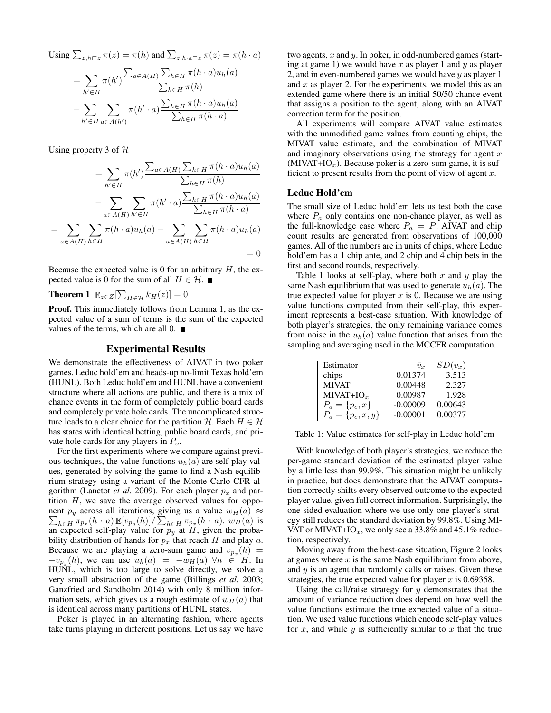Using 
$$
\sum_{z,h\sqsubset z} \pi(z) = \pi(h)
$$
 and  $\sum_{z,h\cdot a\sqsubset z} \pi(z) = \pi(h\cdot a)$ 

$$
= \sum_{h' \in H} \pi(h') \frac{\sum_{a \in A(H)} \sum_{h \in H} \pi(h \cdot a) u_h(a)}{\sum_{h \in H} \pi(h)} - \sum_{h' \in H} \sum_{a \in A(h')} \pi(h' \cdot a) \frac{\sum_{h \in H} \pi(h \cdot a) u_h(a)}{\sum_{h \in H} \pi(h \cdot a)}
$$

Using property 3 of  $H$ 

=

$$
= \sum_{h' \in H} \pi(h') \frac{\sum_{a \in A(H)} \sum_{h \in H} \pi(h \cdot a) u_h(a)}{\sum_{h \in H} \pi(h)}
$$

$$
- \sum_{a \in A(H)} \sum_{h' \in H} \pi(h' \cdot a) \frac{\sum_{h \in H} \pi(h \cdot a) u_h(a)}{\sum_{h \in H} \pi(h \cdot a)}
$$

$$
\sum_{a \in A(H)} \sum_{h \in H} \pi(h \cdot a) u_h(a) - \sum_{a \in A(H)} \sum_{h \in H} \pi(h \cdot a) u_h(a)
$$

$$
= 0
$$

Because the expected value is 0 for an arbitrary  $H$ , the expected value is 0 for the sum of all  $H \in \mathcal{H}$ .

**Theorem 1**  $\mathbb{E}_{z \in Z}[\sum_{H \in \mathcal{H}} k_H(z)] = 0$ 

Proof. This immediately follows from Lemma 1, as the expected value of a sum of terms is the sum of the expected values of the terms, which are all  $0.$ 

### Experimental Results

We demonstrate the effectiveness of AIVAT in two poker games, Leduc hold'em and heads-up no-limit Texas hold'em (HUNL). Both Leduc hold'em and HUNL have a convenient structure where all actions are public, and there is a mix of chance events in the form of completely public board cards and completely private hole cards. The uncomplicated structure leads to a clear choice for the partition H. Each  $H \in \mathcal{H}$ has states with identical betting, public board cards, and private hole cards for any players in  $P<sub>o</sub>$ .

For the first experiments where we compare against previous techniques, the value functions  $u_h(a)$  are self-play values, generated by solving the game to find a Nash equilibrium strategy using a variant of the Monte Carlo CFR algorithm (Lanctot *et al.* 2009). For each player  $p_x$  and partition  $H$ , we save the average observed values for oppo- $\sum_{h\in H}\pi_{p_x}(h\cdot a)\mathop{\mathbb{E}}[v_{p_y}(h)]/\sum_{h\in H}\pi_{p_x}(h\cdot a)$ .  $w_H(a)$  is nent  $p_y$  across all iterations, giving us a value  $w_H(a) \approx$ an expected self-play value for  $p_y$  at H, given the probability distribution of hands for  $p_x$  that reach H and play a. Because we are playing a zero-sum game and  $v_{p_x}(h)$  =  $-v_{p_y}(h)$ , we can use  $u_h(a) = -w_H(a) \forall h \in H$ . In HUNL, which is too large to solve directly, we solve a very small abstraction of the game (Billings *et al.* 2003; Ganzfried and Sandholm 2014) with only 8 million information sets, which gives us a rough estimate of  $w_H(a)$  that is identical across many partitions of HUNL states.

Poker is played in an alternating fashion, where agents take turns playing in different positions. Let us say we have

two agents,  $x$  and  $y$ . In poker, in odd-numbered games (starting at game 1) we would have  $x$  as player 1 and  $y$  as player 2, and in even-numbered games we would have  $y$  as player 1 and  $x$  as player 2. For the experiments, we model this as an extended game where there is an initial 50/50 chance event that assigns a position to the agent, along with an AIVAT correction term for the position.

All experiments will compare AIVAT value estimates with the unmodified game values from counting chips, the MIVAT value estimate, and the combination of MIVAT and imaginary observations using the strategy for agent  $x$  $(MIVAT+IO<sub>x</sub>)$ . Because poker is a zero-sum game, it is sufficient to present results from the point of view of agent  $x$ .

### Leduc Hold'em

The small size of Leduc hold'em lets us test both the case where  $P_a$  only contains one non-chance player, as well as the full-knowledge case where  $P_a = P$ . AIVAT and chip count results are generated from observations of 100,000 games. All of the numbers are in units of chips, where Leduc hold'em has a 1 chip ante, and 2 chip and 4 chip bets in the first and second rounds, respectively.

Table 1 looks at self-play, where both x and y play the same Nash equilibrium that was used to generate  $u_h(a)$ . The true expected value for player  $x$  is 0. Because we are using value functions computed from their self-play, this experiment represents a best-case situation. With knowledge of both player's strategies, the only remaining variance comes from noise in the  $u_h(a)$  value function that arises from the sampling and averaging used in the MCCFR computation.

| Estimator             | $\overline{v}_r$     | $SD(v_x)$ |
|-----------------------|----------------------|-----------|
| chips                 | $0.01\overline{374}$ | 3.513     |
| <b>MIVAT</b>          | 0.00448              | 2.327     |
| MIVAT+I $Ox$          | 0.00987              | 1.928     |
| $P_a = \{p_c, x\}$    | $-0.00009$           | 0.00643   |
| $P_a = \{p_c, x, y\}$ | $-0.00001$           | 0.00377   |

Table 1: Value estimates for self-play in Leduc hold'em

With knowledge of both player's strategies, we reduce the per-game standard deviation of the estimated player value by a little less than 99.9%. This situation might be unlikely in practice, but does demonstrate that the AIVAT computation correctly shifts every observed outcome to the expected player value, given full correct information. Surprisingly, the one-sided evaluation where we use only one player's strategy still reduces the standard deviation by 99.8%. Using MI-VAT or MIVAT+IO<sub>x</sub>, we only see a 33.8% and 45.1% reduction, respectively.

Moving away from the best-case situation, Figure 2 looks at games where  $x$  is the same Nash equilibrium from above, and y is an agent that randomly calls or raises. Given these strategies, the true expected value for player  $x$  is 0.69358.

Using the call/raise strategy for  $y$  demonstrates that the amount of variance reduction does depend on how well the value functions estimate the true expected value of a situation. We used value functions which encode self-play values for x, and while  $y$  is sufficiently similar to  $x$  that the true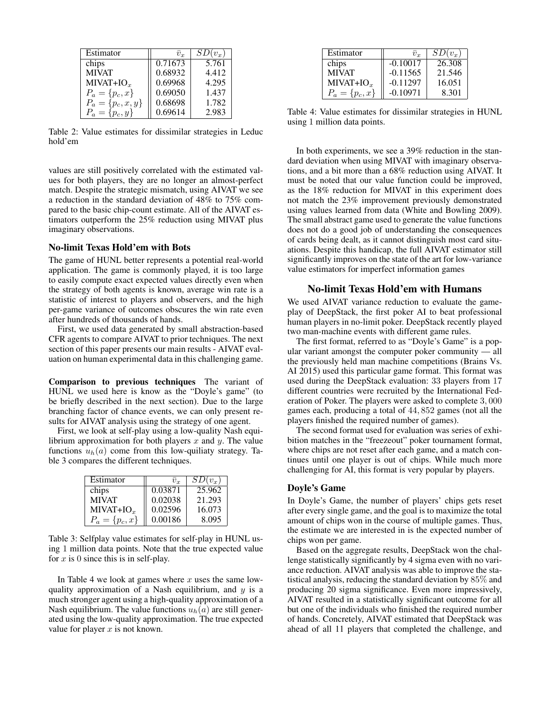| Estimator             | $\overline{v}_r$ | $SD(v_r)$ |
|-----------------------|------------------|-----------|
| chips                 | 0.71673          | 5.761     |
| <b>MIVAT</b>          | 0.68932          | 4.412     |
| $MIVAT+IOx$           | 0.69968          | 4.295     |
| $P_a = \{p_c, x\}$    | 0.69050          | 1.437     |
| $P_a = \{p_c, x, y\}$ | 0.68698          | 1.782     |
| $P_a = \{p_c, y\}$    | 0.69614          | 2.983     |

Table 2: Value estimates for dissimilar strategies in Leduc hold'em

values are still positively correlated with the estimated values for both players, they are no longer an almost-perfect match. Despite the strategic mismatch, using AIVAT we see a reduction in the standard deviation of 48% to 75% compared to the basic chip-count estimate. All of the AIVAT estimators outperform the 25% reduction using MIVAT plus imaginary observations.

### No-limit Texas Hold'em with Bots

The game of HUNL better represents a potential real-world application. The game is commonly played, it is too large to easily compute exact expected values directly even when the strategy of both agents is known, average win rate is a statistic of interest to players and observers, and the high per-game variance of outcomes obscures the win rate even after hundreds of thousands of hands.

First, we used data generated by small abstraction-based CFR agents to compare AIVAT to prior techniques. The next section of this paper presents our main results - AIVAT evaluation on human experimental data in this challenging game.

Comparison to previous techniques The variant of HUNL we used here is know as the "Doyle's game" (to be briefly described in the next section). Due to the large branching factor of chance events, we can only present results for AIVAT analysis using the strategy of one agent.

First, we look at self-play using a low-quality Nash equilibrium approximation for both players  $x$  and  $y$ . The value functions  $u_h(a)$  come from this low-quiliaty strategy. Table 3 compares the different techniques.

| Estimator          | $\overline{v}_r$ | $SD(v_r)$ |
|--------------------|------------------|-----------|
| chips              | 0.03871          | 25.962    |
| <b>MIVAT</b>       | 0.02038          | 21.293    |
| $MIVAT+IOx$        | 0.02596          | 16.073    |
| $P_a = \{p_c, x\}$ | 0.00186          | 8.095     |

Table 3: Selfplay value estimates for self-play in HUNL using 1 million data points. Note that the true expected value for  $x$  is 0 since this is in self-play.

In Table 4 we look at games where  $x$  uses the same lowquality approximation of a Nash equilibrium, and  $y$  is a much stronger agent using a high-quality approximation of a Nash equilibrium. The value functions  $u_h(a)$  are still generated using the low-quality approximation. The true expected value for player  $x$  is not known.

| Estimator          | $\bar{v}_r$ | $SD(v_x)$ |
|--------------------|-------------|-----------|
| chips              | $-0.10017$  | 26.308    |
| <b>MIVAT</b>       | $-0.11565$  | 21.546    |
| $MIVAT+IOx$        | $-0.11297$  | 16.051    |
| $P_a = \{p_c, x\}$ | $-0.10971$  | 8.301     |

Table 4: Value estimates for dissimilar strategies in HUNL using 1 million data points.

In both experiments, we see a 39% reduction in the standard deviation when using MIVAT with imaginary observations, and a bit more than a 68% reduction using AIVAT. It must be noted that our value function could be improved, as the 18% reduction for MIVAT in this experiment does not match the 23% improvement previously demonstrated using values learned from data (White and Bowling 2009). The small abstract game used to generate the value functions does not do a good job of understanding the consequences of cards being dealt, as it cannot distinguish most card situations. Despite this handicap, the full AIVAT estimator still significantly improves on the state of the art for low-variance value estimators for imperfect information games

### No-limit Texas Hold'em with Humans

We used AIVAT variance reduction to evaluate the gameplay of DeepStack, the first poker AI to beat professional human players in no-limit poker. DeepStack recently played two man-machine events with different game rules.

The first format, referred to as "Doyle's Game" is a popular variant amongst the computer poker community — all the previously held man machine competitions (Brains Vs. AI 2015) used this particular game format. This format was used during the DeepStack evaluation: 33 players from 17 different countries were recruited by the International Federation of Poker. The players were asked to complete 3, 000 games each, producing a total of 44, 852 games (not all the players finished the required number of games).

The second format used for evaluation was series of exhibition matches in the "freezeout" poker tournament format, where chips are not reset after each game, and a match continues until one player is out of chips. While much more challenging for AI, this format is very popular by players.

### Doyle's Game

In Doyle's Game, the number of players' chips gets reset after every single game, and the goal is to maximize the total amount of chips won in the course of multiple games. Thus, the estimate we are interested in is the expected number of chips won per game.

Based on the aggregate results, DeepStack won the challenge statistically significantly by 4 sigma even with no variance reduction. AIVAT analysis was able to improve the statistical analysis, reducing the standard deviation by 85% and producing 20 sigma significance. Even more impressively, AIVAT resulted in a statistically significant outcome for all but one of the individuals who finished the required number of hands. Concretely, AIVAT estimated that DeepStack was ahead of all 11 players that completed the challenge, and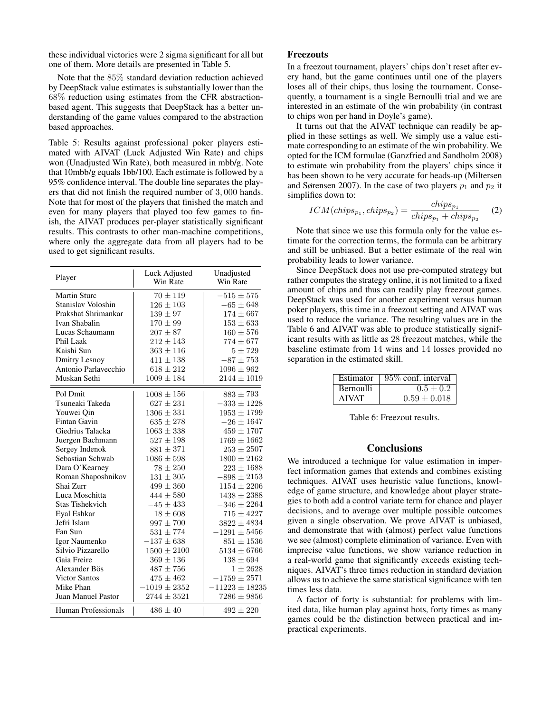these individual victories were 2 sigma significant for all but one of them. More details are presented in Table 5.

Note that the 85% standard deviation reduction achieved by DeepStack value estimates is substantially lower than the 68% reduction using estimates from the CFR abstractionbased agent. This suggests that DeepStack has a better understanding of the game values compared to the abstraction based approaches.

Table 5: Results against professional poker players estimated with AIVAT (Luck Adjusted Win Rate) and chips won (Unadjusted Win Rate), both measured in mbb/g. Note that 10mbb/g equals 1bb/100. Each estimate is followed by a 95% confidence interval. The double line separates the players that did not finish the required number of 3, 000 hands. Note that for most of the players that finished the match and even for many players that played too few games to finish, the AIVAT produces per-player statistically significant results. This contrasts to other man-machine competitions, where only the aggregate data from all players had to be used to get significant results.

| Player                    | Luck Adjusted<br>Win Rate | Unadjusted<br>Win Rate |
|---------------------------|---------------------------|------------------------|
| <b>Martin Sturc</b>       | $70 \pm 119$              | $-515 \pm 575$         |
| Stanislav Voloshin        | $126 \pm 103$             | $-65 \pm 648$          |
| Prakshat Shrimankar       | $139 \pm 97$              | $174 \pm 667$          |
| Ivan Shabalin             | $170 \pm 99$              | $153 \pm 633$          |
| Lucas Schaumann           | $207 \pm 87$              | $160 \pm 576$          |
| Phil Laak                 | $212 \pm 143$             | $774 \pm 677$          |
| Kaishi Sun                | $363 \pm 116$             | $5 \pm 729$            |
| <b>Dmitry Lesnoy</b>      | $411 \pm 138$             | $-87 \pm 753$          |
| Antonio Parlavecchio      | $618 \pm 212$             | $1096 \pm 962$         |
| Muskan Sethi              | $1009 \pm 184$            | $2144 \pm 1019$        |
| Pol Dmit                  | $1008 \pm 156$            | $883 \pm 793$          |
| Tsuneaki Takeda           | $627 \pm 231$             | $-333 \pm 1228$        |
| Youwei Qin                | $1306 \pm 331$            | $1953 \pm 1799$        |
| <b>Fintan Gavin</b>       | $635\pm278$               | $-26 \pm 1647$         |
| Giedrius Talacka          | $1063 \pm 338$            | $459 \pm 1707$         |
| Juergen Bachmann          | $527 \pm 198$             | $1769 \pm 1662$        |
| Sergey Indenok            | $881 + 371$               | $253 + 2507$           |
| Sebastian Schwab          | $1086 \pm 598$            | $1800 \pm 2162$        |
| Dara O'Kearney            | $78 + 250$                | $223 \pm 1688$         |
| Roman Shaposhnikov        | $131 \pm 305$             | $-898 \pm 2153$        |
| Shai Zurr                 | $499 \pm 360$             | $1154 \pm 2206$        |
| Luca Moschitta            | $444 + 580$               | $1438 + 2388$          |
| Stas Tishekvich           | $-45 \pm 433$             | $-346 \pm 2264$        |
| Eval Eshkar               | $18 \pm 608$              | $715 \pm 4227$         |
| Jefri Islam               | $997 \pm 700$             | $3822 \pm 4834$        |
| Fan Sun                   | $531 \pm 774$             | $-1291 \pm 5456$       |
| Igor Naumenko             | $-137 \pm 638$            | $851 \pm 1536$         |
| Silvio Pizzarello         | $1500 \pm 2100$           | $5134 \pm 6766$        |
| Gaia Freire               | $369 \pm 136$             | $138 \pm 694$          |
| Alexander Bös             | $487 \pm 756$             | $1 \pm 2628$           |
| <b>Victor Santos</b>      | $475 \pm 462$             | $-1759 \pm 2571$       |
| Mike Phan                 | $-1019 \pm 2352$          | $-11223 \pm 18235$     |
| <b>Juan Manuel Pastor</b> | $2744 \pm 3521$           | $7286 \pm 9856$        |
| Human Professionals       | $486 + 40$                | $492 + 220$            |

#### Freezouts

In a freezout tournament, players' chips don't reset after every hand, but the game continues until one of the players loses all of their chips, thus losing the tournament. Consequently, a tournament is a single Bernoulli trial and we are interested in an estimate of the win probability (in contrast to chips won per hand in Doyle's game).

It turns out that the AIVAT technique can readily be applied in these settings as well. We simply use a value estimate corresponding to an estimate of the win probability. We opted for the ICM formulae (Ganzfried and Sandholm 2008) to estimate win probability from the players' chips since it has been shown to be very accurate for heads-up (Miltersen and Sørensen 2007). In the case of two players  $p_1$  and  $p_2$  it simplifies down to:

$$
ICM(chips_{p_1}, chips_{p_2}) = \frac{chips_{p_1}}{chips_{p_1} + chips_{p_2}} \quad (2)
$$

Note that since we use this formula only for the value estimate for the correction terms, the formula can be arbitrary and still be unbiased. But a better estimate of the real win probability leads to lower variance.

Since DeepStack does not use pre-computed strategy but rather computes the strategy online, it is not limited to a fixed amount of chips and thus can readily play freezout games. DeepStack was used for another experiment versus human poker players, this time in a freezout setting and AIVAT was used to reduce the variance. The resulting values are in the Table 6 and AIVAT was able to produce statistically significant results with as little as 28 freezout matches, while the baseline estimate from 14 wins and 14 losses provided no separation in the estimated skill.

| Estimator        | $\frac{1}{2}$ 95% conf. interval |
|------------------|----------------------------------|
| <b>Bernoulli</b> | $0.5 \pm 0.2$                    |
| <b>AIVAT</b>     | $0.59 \pm 0.018$                 |

Table 6: Freezout results.

### **Conclusions**

We introduced a technique for value estimation in imperfect information games that extends and combines existing techniques. AIVAT uses heuristic value functions, knowledge of game structure, and knowledge about player strategies to both add a control variate term for chance and player decisions, and to average over multiple possible outcomes given a single observation. We prove AIVAT is unbiased, and demonstrate that with (almost) perfect value functions we see (almost) complete elimination of variance. Even with imprecise value functions, we show variance reduction in a real-world game that significantly exceeds existing techniques. AIVAT's three times reduction in standard deviation allows us to achieve the same statistical significance with ten times less data.

A factor of forty is substantial: for problems with limited data, like human play against bots, forty times as many games could be the distinction between practical and impractical experiments.